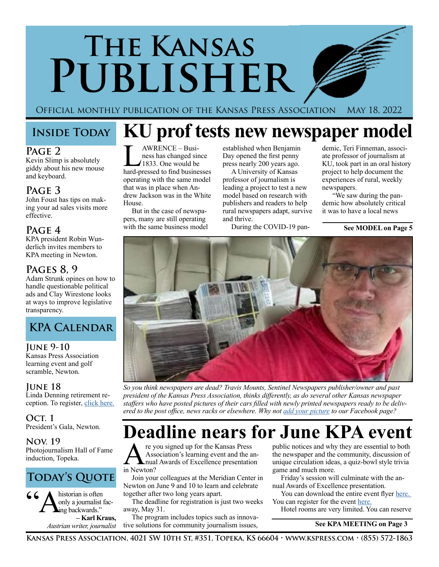# **The Kansas Publisher**

Official monthly publication of the Kansas Press Association May 18, 2022

### **Page 2**

Kevin Slimp is absolutely giddy about his new mouse and keyboard.

### **Page 3**

John Foust has tips on making your ad sales visits more effective.

### **Page 4**

KPA president Robin Wunderlich invites members to KPA meeting in Newton.

### **Pages 8, 9**

Adam Strunk opines on how to handle questionable political ads and Clay Wirestone looks at ways to improve legislative transparency.



### **June 9-10**

Kansas Press Association learning event and golf scramble, Newton.

### **June 18**

Linda Denning retirement reception. To register, [click here.](mailto:https://www.evite.com/event/0161RGUJRNF4KIVXWEPMVGDPUFSHVQ/rsvp%3Futm_campaign%3Dsend_sharable_link%26utm_source%3Devitelink%26utm_medium%3Dsharable_invite?subject=)

**Oct. 1** President's Gala, Newton.

**Nov. 19** Photojournalism Hall of Fame induction, Topeka.

### **Today's Quote**

historian is often only a journalist facing backwards." **– Karl Kraus,** *Austrian writer, journalist*

## **Inside Today KU prof tests new newspaper model**

AWRENCE – Business has changed since 1833. One would be hard-pressed to find businesses operating with the same model that was in place when Andrew Jackson was in the White House.

But in the case of newspapers, many are still operating with the same business model established when Benjamin Day opened the first penny press nearly 200 years ago.

A University of Kansas professor of journalism is leading a project to test a new model based on research with publishers and readers to help rural newspapers adapt, survive and thrive.

During the COVID-19 pan-

demic, Teri Finneman, associate professor of journalism at KU, took part in an oral history project to help document the experiences of rural, weekly newspapers.

 "We saw during the pandemic how absolutely critical it was to have a local news

### **See MODEL on Page 5**



*So you think newspapers are dead? Travis Mounts, Sentinel Newspapers publisher/owner and past president of the Kansas Press Association, thinks differently, as do several other Kansas newspaper staffers who have posted pictures of their cars filled with newly printed newspapers ready to be delivered to the post office, news racks or elsewhere. Why not [add your picture](https://www.facebook.com/KansasPressAssociation) to our Facebook page?*

## **Deadline nears for June KPA event**

**A** re you signed up for the Kansas Press<br>Association's learning event and the an-<br>in Newton? Association's learning event and the anin Newton?

Join your colleagues at the Meridian Center in Newton on June 9 and 10 to learn and celebrate together after two long years apart.

The deadline for registration is just two weeks away, May 31.

The program includes topics such as innovative solutions for community journalism issues,

public notices and why they are essential to both the newspaper and the community, discussion of unique circulation ideas, a quiz-bowl style trivia game and much more.

Friday's session will culminate with the annual Awards of Excellence presentation.

You can download the entire event flyer [here.](https://kspress.wufoo.com/forms/pcdpzt18pl883/)  You can register for the event [here.](https://kspress.wufoo.com/forms/pcdpzt18pl883/)

Hotel rooms are very limited. You can reserve

 **See KPA MEETING on Page 3**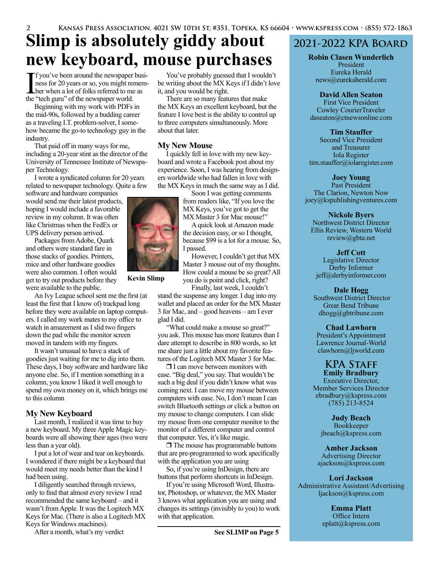## **Slimp is absolutely giddy about new keyboard, mouse purchases**

If you've been around the newspaper business for 20 years or so, you might remem-<br>ber when a lot of folks referred to me as<br>the "tech guru" of the newspaper world ness for 20 years or so, you might remember when a lot of folks referred to me as the "tech guru" of the newspaper world.

Beginning with my work with PDFs in the mid-90s, followed by a budding career as a traveling I.T. problem-solver, I somehow became the go-to technology guy in the industry.

That paid off in many ways for me, including a 20-year stint as the director of the University of Tennessee Institute of Newspaper Technology.

I wrote a syndicated column for 20 years related to newspaper technology. Quite a few

software and hardware companies would send me their latest products, hoping I would include a favorable review in my column. It was often like Christmas when the FedEx or UPS delivery person arrived.

Packages from Adobe, Quark and others were standard fare in those stacks of goodies. Printers, mice and other hardware goodies were also common. I often would get to try out products before they were available to the public.

An Ivy League school sent me the first (at least the first that I know of) trackpad long before they were available on laptop computers. I called my work mates to my office to watch in amazement as I slid two fingers down the pad while the monitor screen moved in tandem with my fingers.

It wasn't unusual to have a stack of goodies just waiting for me to dig into them. These days, I buy software and hardware like anyone else. So, if I mention something in a column, you know I liked it well enough to spend my own money on it, which brings me to this column

### **My New Keyboard**

Last month, I realized it was time to buy a new keyboard. My three Apple Magic keyboards were all showing their ages (two were less than a year old).

I put a lot of wear and tear on keyboards. I wondered if there might be a keyboard that would meet my needs better than the kind I had been using.

I diligently searched through reviews, only to find that almost every review I read recommended the same keyboard – and it wasn't from Apple. It was the Logitech MX Keys for Mac. (There is also a Logitech MX Keys for Windows machines).

After a month, what's my verdict

You've probably guessed that I wouldn't be writing about the MX Keys if I didn't love it, and you would be right.

There are so many features that make the MX Keys an excellent keyboard, but the feature I love best is the ability to control up to three computers simultaneously. More about that later.

### **My New Mouse**

I quickly fell in love with my new keyboard and wrote a Facebook post about my experience. Soon, I was hearing from designers worldwide who had fallen in love with the MX Keys in much the same way as I did.

Soon I was getting comments from readers like, "If you love the MX Keys, you've got to get the MX Master 3 for Mac mouse!"

A quick look at Amazon made the decision easy, or so I thought, because \$99 is a lot for a mouse. So, I passed.

However, I couldn't get that MX Master 3 mouse out of my thoughts. How could a mouse be so great? All you do is point and click, right?

Finally, last week, I couldn't stand the suspense any longer. I dug into my wallet and placed an order for the MX Master 3 for Mac, and – good heavens – am I ever glad I did.

"What could make a mouse so great?" you ask. This mouse has more features than I dare attempt to describe in 800 words, so let me share just a little about my favorite features of the Logitech MX Master 3 for Mac.

 $\Box$  I can move between monitors with ease. "Big deal," you say. That wouldn't be such a big deal if you didn't know what was coming next. I can move my mouse between computers with ease. No, I don't mean I can switch Bluetooth settings or click a button on my mouse to change computers. I can slide my mouse from one computer monitor to the monitor of a different computer and control that computer. Yes, it's like magic.

 $\Box$  The mouse has programmable buttons that are pre-programmed to work specifically with the application you are using

So, if you're using InDesign, there are buttons that perform shortcuts in InDesign.

If you're using Microsoft Word, Illustrator, Photoshop, or whatever, the MX Master 3 knows what application you are using and changes its settings (invisibly to you) to work with that application.

### **2021-2022 KPA Board**

**Robin Clasen Wunderlich** President Eureka Herald news@eurekaherald.com

### **David Allen Seaton**

First Vice President Cowley CourierTraveler daseaton@ctnewsonline.com

### **Tim Stauffer**

Second Vice President and Treasurer Iola Register tim.stauffer@iolaregister.com

### **Joey Young**

Past President The Clarion, Newton Now joey@kspublishingventures.com

### **Nickole Byers**

Northwest District Director Ellis Review, Western World review@gbta.net

**Jeff Cott**

Legislative Director Derby Informer jeff@derbyinformer.com

### **Dale Hogg**

 Southwest District Director Great Bend Tribune dhogg@gbtribune.com

### **Chad Lawhorn**

President's Appointment Lawrence Journal-World clawhorn@ljworld.com

### **KPA Staff Emily Bradbury**

Executive Director, Member Services Director ebradbury@kspress.com (785) 213-8524

**Judy Beach** Bookkeeper jbeach@kspress.com

**Amber Jackson** Advertising Director ajackson@kspress.com

### **Lori Jackson**

Administrative Assistant/Advertising ljackson@kspress.com

> **Emma Platt** Office Intern eplatt@kspress.com



**Kevin Slimp**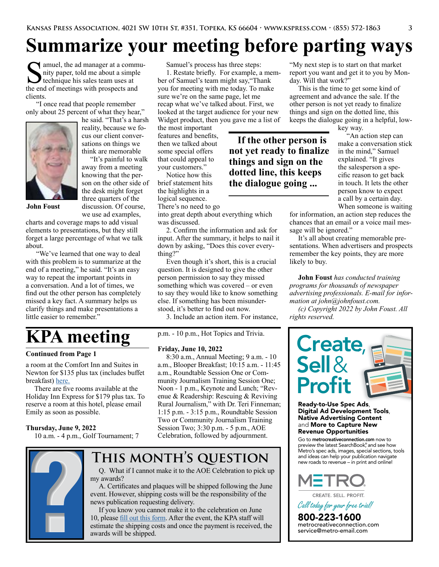## **Summarize your meeting before parting ways**

If a a community paper, told me about a simple technique his sales team uses at the end of meetings with prospects and clients.

 "I once read that people remember only about 25 percent of what they hear,"



he said. "That's a harsh reality, because we focus our client conversations on things we think are memorable

"It's painful to walk away from a meeting knowing that the person on the other side of the desk might forget three quarters of the discussion. Of course,

**John Foust**

we use ad examples, charts and coverage maps to add visual elements to presentations, but they still forget a large percentage of what we talk about.

 "We've learned that one way to deal with this problem is to summarize at the end of a meeting," he said. "It's an easy way to repeat the important points in a conversation. And a lot of times, we find out the other person has completely missed a key fact. A summary helps us clarify things and make presentations a little easier to remember.'

## **KPA meeting**

### **Continued from Page 1**

a room at the Comfort Inn and Suites in Newton for \$135 plus tax (includes buffet breakfast) [here.](https://www.choicehotels.com/reservations/groups/cl89b5?checkInDate=2022-06-09&checkOutDate=2022-06-10&ratePlanCode=BTIULN)

There are five rooms available at the Holiday Inn Express for \$179 plus tax. To reserve a room at this hotel, please email Emily as soon as possible.

### **Thursday, June 9, 2022**

10 a.m. - 4 p.m., Golf Tournament; 7



### Samuel's process has three steps:

1. Restate briefly. For example, a member of Samuel's team might say,"Thank you for meeting with me today. To make sure we're on the same page, let me recap what we've talked about. First, we looked at the target audience for your new Widget product, then you gave me a list of

> **If the other person is not yet ready to finalize things and sign on the dotted line, this keeps the dialogue going ...**

the most important features and benefits, then we talked about some special offers that could appeal to your customers."

Notice how this brief statement hits the highlights in a logical sequence. There's no need to go

into great depth about everything which was discussed.

2. Confirm the information and ask for input. After the summary, it helps to nail it down by asking, "Does this cover everything?"

Even though it's short, this is a crucial question. It is designed to give the other person permission to say they missed something which was covered – or even to say they would like to know something else. If something has been misunderstood, it's better to find out now.

3. Include an action item. For instance,

p.m. - 10 p.m., Hot Topics and Trivia.

#### **Friday, June 10, 2022**

8:30 a.m., Annual Meeting; 9 a.m. - 10 a.m., Blooper Breakfast; 10:15 a.m. - 11:45 a.m., Roundtable Session One or Community Journalism Training Session One; Noon - 1 p.m., Keynote and Lunch; "Revenue & Readership: Rescuing & Reviving Rural Journalism," with Dr. Teri Finneman; 1:15 p.m. - 3:15 p.m., Roundtable Session Two or Community Journalism Training Session Two; 3:30 p.m. - 5 p.m., AOE Celebration, followed by adjournment.

### **This month's question**

Q. What if I cannot make it to the AOE Celebration to pick up my awards?

A. Certificates and plaques will be shipped following the June event. However, shipping costs will be the responsibility of the news publication requesting delivery.

If you know you cannot make it to the celebration on June 10, please [fill out this form](https://kspress.wufoo.com/forms/p17txf7j1eqdnrw/). After the event, the KPA staff will estimate the shipping costs and once the payment is received, the awards will be shipped.

"My next step is to start on that market report you want and get it to you by Monday. Will that work?"

This is the time to get some kind of agreement and advance the sale. If the other person is not yet ready to finalize things and sign on the dotted line, this keeps the dialogue going in a helpful, low-

key way.

An action step can make a conversation stick in the mind," Samuel explained. "It gives the salesperson a specific reason to get back in touch. It lets the other person know to expect a call by a certain day. When someone is waiting

for information, an action step reduces the chances that an email or a voice mail message will be ignored."

It's all about creating memorable presentations. When advertisers and prospects remember the key points, they are more likely to buy.

**John Foust** *has conducted training programs for thousands of newspaper advertising professionals. E-mail for information at john@johnfoust.com.*

*(c) Copyright 2022 by John Foust. All rights reserved.* 



Ready-to-Use Spec Ads, Digital Ad Development Tools, Native Advertising Content and More to Capture New Revenue Opportunities

Go to metrocreativeconnection.com now to preview the latest SearchBook® , and see how Metro's spec ads, images, special sections, tools and ideas can help your publication navigate new roads to revenue – in print and online!



CREATE. SELL. PROFIT.

*Call todayforyourfreetrial!*

800-223-1600<br>metrocreativeconnection.com<br>service@metro-email.com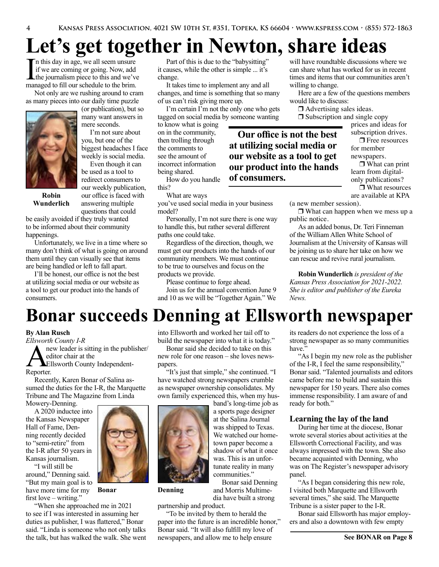## **Let's get together in Newton, share ideas**

In this day in age, we all seem unsure<br>if we are coming or going. Now, add<br>the journalism piece to this and we've<br>managed to fill our schedule to the brim n this day in age, we all seem unsure if we are coming or going. Now, add managed to fill our schedule to the brim.

Not only are we rushing around to cram as many pieces into our daily time puzzle



(or publication), but so many want answers in mere seconds.

I'm not sure about you, but one of the biggest headaches I face weekly is social media.

Even though it can be used as a tool to redirect consumers to our weekly publication, our office is faced with answering multiple questions that could

**Robin Wunderlich**

be easily avoided if they truly wanted to be informed about their community happenings.

Unfortunately, we live in a time where so many don't think of what is going on around them until they can visually see that items are being handled or left to fall apart.

I'll be honest, our office is not the best at utilizing social media or our website as a tool to get our product into the hands of consumers.

Part of this is due to the "babysitting" it causes, while the other is simple ... it's change.

It takes time to implement any and all changes, and time is something that so many of us can't risk giving more up.

I'm certain I'm not the only one who gets tagged on social media by someone wanting

to know what is going on in the community, then trolling through the comments to see the amount of incorrect information being shared.

How do you handle this?

What are ways

you've used social media in your business model?

Personally, I'm not sure there is one way to handle this, but rather several different paths one could take.

Regardless of the direction, though, we must get our products into the hands of our community members. We must continue to be true to ourselves and focus on the products we provide.

Please continue to forge ahead.

Join us for the annual convention June 9 and 10 as we will be "Together Again." We will have roundtable discussions where we can share what has worked for us in recent times and items that our communities aren't willing to change.

Here are a few of the questions members would like to discuss:

 $\Box$  Advertising sales ideas.

**Our office is not the best at utilizing social media or our website as a tool to get our product into the hands** 

**of consumers.**

 $\Box$  Subscription and single copy prices and ideas for

subscription drives.  $\Box$  Free resources

for member newspapers.

 $\Box$  What can print learn from digitalonly publications?  $\Box$  What resources are available at KPA

(a new member session).

 $\Box$  What can happen when we mess up a public notice.

As an added bonus, Dr. Teri Finneman of the William Allen White School of Journalism at the University of Kansas will be joining us to share her take on how we can rescue and revive rural journalism.

**Robin Wunderlich** *is president of the Kansas Press Association for 2021-2022. She is editor and publisher of the Eureka News.*

## **Bonar succeeds Denning at Ellsworth newspaper**

### **By Alan Rusch**

*Ellsworth County I-R*

new leader is sitting in the publisher/ editor chair at the Ellsworth County Independent-Reporter.

Recently, Karen Bonar of Salina assumed the duties for the I-R, the Marquette Tribune and The Magazine from Linda Mowery-Denning.

A 2020 inductee into the Kansas Newspaper Hall of Fame, Denning recently decided to "semi-retire" from the I-R after 50 years in Kansas journalism.

"I will still be around," Denning said. "But my main goal is to have more time for my first love – writing."

"When she approached me in 2021 to see if I was interested in assuming her duties as publisher, I was flattered," Bonar said. "Linda is someone who not only talks the talk, but has walked the walk. She went into Ellsworth and worked her tail off to build the newspaper into what it is today."

Bonar said she decided to take on this new role for one reason – she loves newspapers.

"It's just that simple," she continued. "I have watched strong newspapers crumble as newspaper ownership consolidates. My own family experienced this, when my hus-

> band's long-time job as a sports page designer at the Salina Journal was shipped to Texas. We watched our hometown paper become a shadow of what it once was. This is an unfortunate reality in many communities."

Bonar said Denning and Morris Multimedia have built a strong

partnership and product.

"To be invited by them to herald the paper into the future is an incredible honor," Bonar said. "It will also fulfill my love of newspapers, and allow me to help ensure

its readers do not experience the loss of a strong newspaper as so many communities have<sup>3</sup>

"As I begin my new role as the publisher of the I-R, I feel the same responsibility," Bonar said. "Talented journalists and editors came before me to build and sustain this newspaper for 150 years. There also comes immense responsibility. I am aware of and ready for both."

### **Learning the lay of the land**

During her time at the diocese, Bonar wrote several stories about activities at the Ellsworth Correctional Facility, and was always impressed with the town. She also became acquainted with Denning, who was on The Register's newspaper advisory panel.

"As I began considering this new role, I visited both Marquette and Ellsworth several times," she said. The Marquette Tribune is a sister paper to the I-R.

Bonar said Ellsworth has major employers and also a downtown with few empty



**Bonar Denning**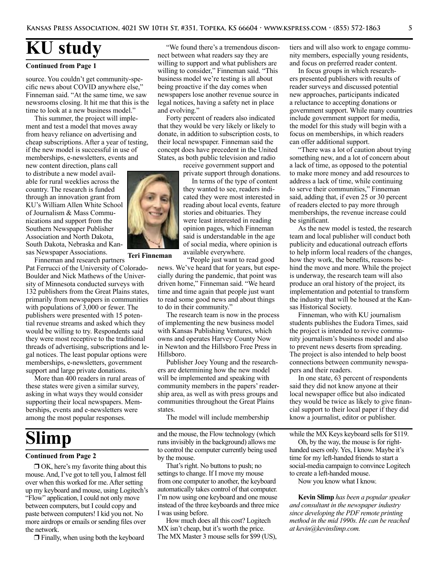### **KU study**

#### **Continued from Page 1**

source. You couldn't get community-specific news about COVID anywhere else," Finneman said. "At the same time, we saw newsrooms closing. It hit me that this is the time to look at a new business model."

This summer, the project will implement and test a model that moves away from heavy reliance on advertising and cheap subscriptions. After a year of testing, if the new model is successful in use of memberships, e-newsletters, events and

new content direction, plans call to distribute a new model available for rural weeklies across the country. The research is funded through an innovation grant from KU's William Allen White School of Journalism & Mass Communications and support from the Southern Newspaper Publisher Association and North Dakota, South Dakota, Nebraska and Kansas Newspaper Associations.

Finneman and research partners Pat Ferrucci of the University of Colorado-Boulder and Nick Mathews of the University of Minnesota conducted surveys with 132 publishers from the Great Plains states, primarily from newspapers in communities with populations of 3,000 or fewer. The publishers were presented with 15 potential revenue streams and asked which they would be willing to try. Respondents said they were most receptive to the traditional threads of advertising, subscriptions and legal notices. The least popular options were memberships, e-newsletters, government support and large private donations.

More than 400 readers in rural areas of these states were given a similar survey, asking in what ways they would consider supporting their local newspapers. Memberships, events and e-newsletters were among the most popular responses.

## **Slimp**

#### **Continued from Page 2**

 $\Box$  OK, here's my favorite thing about this mouse. And, I've got to tell you, I almost fell over when this worked for me. After setting up my keyboard and mouse, using Logitech's "Flow" application, I could not only move between computers, but I could copy and paste between computers! I kid you not. No more airdrops or emails or sending files over the network.

 $\Box$  Finally, when using both the keyboard

"We found there's a tremendous disconnect between what readers say they are willing to support and what publishers are willing to consider," Finneman said. "This business model we're testing is all about being proactive if the day comes when newspapers lose another revenue source in legal notices, having a safety net in place and evolving."

Forty percent of readers also indicated that they would be very likely or likely to donate, in addition to subscription costs, to their local newspaper. Finneman said the concept does have precedent in the United States, as both public television and radio

> receive government support and private support through donations.

In terms of the type of content they wanted to see, readers indicated they were most interested in reading about local events, feature stories and obituaries. They were least interested in reading opinion pages, which Finneman said is understandable in the age of social media, where opinion is available everywhere.

"People just want to read good news. We've heard that for years, but especially during the pandemic, that point was driven home," Finneman said. "We heard time and time again that people just want to read some good news and about things to do in their community." **Teri Finneman**

> The research team is now in the process of implementing the new business model with Kansas Publishing Ventures, which owns and operates Harvey County Now in Newton and the Hillsboro Free Press in Hillsboro.

> Publisher Joey Young and the researchers are determining how the new model will be implemented and speaking with community members in the papers' readership area, as well as with press groups and communities throughout the Great Plains states.

The model will include membership

and the mouse, the Flow technology (which runs invisibly in the background) allows me to control the computer currently being used by the mouse.

That's right. No buttons to push; no settings to change. If I move my mouse from one computer to another, the keyboard automatically takes control of that computer. I'm now using one keyboard and one mouse instead of the three keyboards and three mice I was using before.

How much does all this cost? Logitech MX isn't cheap, but it's worth the price. The MX Master 3 mouse sells for \$99 (US), tiers and will also work to engage community members, especially young residents, and focus on preferred reader content.

In focus groups in which researchers presented publishers with results of reader surveys and discussed potential new approaches, participants indicated a reluctance to accepting donations or government support. While many countries include government support for media, the model for this study will begin with a focus on memberships, in which readers can offer additional support.

"There was a lot of caution about trying something new, and a lot of concern about a lack of time, as opposed to the potential to make more money and add resources to address a lack of time, while continuing to serve their communities," Finneman said, adding that, if even 25 or 30 percent of readers elected to pay more through memberships, the revenue increase could be significant.

As the new model is tested, the research team and local publisher will conduct both publicity and educational outreach efforts to help inform local readers of the changes, how they work, the benefits, reasons behind the move and more. While the project is underway, the research team will also produce an oral history of the project, its implementation and potential to transform the industry that will be housed at the Kansas Historical Society.

Finneman, who with KU journalism students publishes the Eudora Times, said the project is intended to revive community journalism's business model and also to prevent news deserts from spreading. The project is also intended to help boost connections between community newspapers and their readers.

In one state, 63 percent of respondents said they did not know anyone at their local newspaper office but also indicated they would be twice as likely to give financial support to their local paper if they did know a journalist, editor or publisher.

while the MX Keys keyboard sells for \$119.

Oh, by the way, the mouse is for righthanded users only. Yes, I know. Maybe it's time for my left-handed friends to start a social-media campaign to convince Logitech to create a left-handed mouse.

Now you know what I know.

**Kevin Slimp** *has been a popular speaker and consultant in the newspaper industry since developing the PDF remote printing method in the mid 1990s. He can be reached at kevin@kevinslimp.com.*

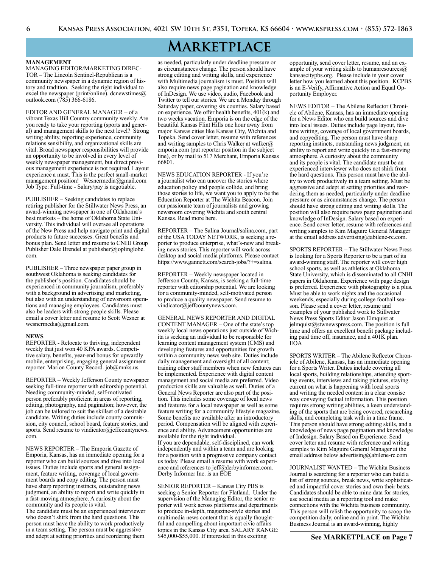### **Marketplace**

#### **MANAGEMENT**

MANAGING EDITOR/MARKETING DIREC-TOR – The Lincoln Sentinel-Republican is a community newspaper in a dynamic region of history and tradition. Seeking the right individual to excel the newspaper (print/online). dcnewstimes@ outlook.com (785) 366-6186.

EDITOR AND GENERAL MANAGER – of a vibrant Texas Hill Country community weekly. Are you ready to take your reporting (sports and general) and management skills to the next level? Strong writing ability, reporting experience, community relations sensibility, and organizational skills are vital. Broad newspaper responsibilities will provide an opportunity to be involved in every level of weekly newspaper management, but direct previous management experience is not required. Layout experience a must. This is the perfect small-market management position! Wesnermedia@gmail.com Job Type: Full-time - Salary/pay is negotiable.

PUBLISHER – Seeking candidates to replace retiring publisher for the Stillwater News Press, an award-winning newspaper in one of Oklahoma's best markets – the home of Oklahoma State University. This individual will oversee all operations of the New Press and help navigate print and digital products to future successes. Great benefits and bonus plan. Send letter and resume to CNHI Group Publisher Dale Brendel at publisher@joplinglobe. com.

PUBLISHER – Three newspaper paper group in southwest Oklahoma is seeking candidates for the publisher's position. Candidates should be experienced in community journalism, preferably with a background in advertising and marketing, but also with an understanding of newsroom operations and managing employees. Candidates must also be leaders with strong people skills. Please email a cover letter and resume to Scott Wesner at wesnermedia@gmail.com.

#### **NEWS**

REPORTER - Relocate to thriving, independent weekly that just won 40 KPA awards. Competitive salary, benefits, year-end bonus for upwardly mobile, enterprising, engaging general assignment reporter. Marion County Record. job@mnks.us.

REPORTER – Weekly Jefferson County newspaper seeking full-time reporter with editorship potential. Needing community-minded, self-motivated person preferably proficient in areas of reporting, editing, photography, and pagination; however, the job can be tailored to suit the skillset of a desirable candidate. Writing duties include county commission, city council, school board, feature stories, and sports. Send resume to vindicator@jeffcountynews. com.

NEWS REPORTER – The Emporia Gazette of Emporia, Kansas, has an immediate opening for a reporter who can build sources and dive into local issues. Duties include sports and general assignment, feature writing, coverage of local government boards and copy editing. The person must have sharp reporting instincts, outstanding news judgment, an ability to report and write quickly in a fast-moving atmosphere. A curiosity about the community and its people is vital. The candidate must be an experienced interviewer

who doesn't shirk from the hard questions. This person must have the ability to work productively in a team setting. The person must be aggressive and adept at setting priorities and reordering them as needed, particularly under deadline pressure or as circumstances change. The person should have strong editing and writing skills, and experience with Multimedia journalism is must. Position will also require news page pagination and knowledge of InDesign. We use video, audio, Facebook and Twitter to tell our stories. We are a Monday through Saturday paper, covering six counties. Salary based on experience. We offer health benefits, 401(k) and two weeks vacation. Emporia is on the edge of the beautiful Kansas Flint Hills one hour away from major Kansas cities like Kansas City, Wichita and Topeka. Send cover letter, resume with references and writing samples to Chris Walker at walker $\omega$ emporia.com (put reporter position in the subject line), or by mail to 517 Merchant, Emporia Kansas 66801.

NEWS EDUCATION REPORTER - If you're a journalist who can uncover the stories where education policy and people collide, and bring those stories to life, we want you to apply to be the Education Reporter at The Wichita Beacon. Join our passionate team of journalists and growing newsroom covering Wichita and south central Kansas. Read more here.

REPORTER – The Salina Journal/salina.com, part of the USA TODAY NETWORK, is seeking a reporter to produce enterprise, what's-new and breaking news stories. This reporter will work across desktop and social media platforms. Please contact https://www.gannett.com/search-jobs/?+=salina.

REPORTER – Weekly newspaper located in Jefferson County, Kansas, is seeking a full-time reporter with editorship potential. We are looking for a community-minded, self-motivated person to produce a quality newspaper. Send resume to vindicator@jeffcountynews.com.

GENERAL NEWS REPORTER AND DIGITAL CONTENT MANAGER – One of the state's top weekly local news operations just outside of Wichita is seeking an individual to be responsible for learning content management system (CMS) and developing features and opportunities for growth within a community news web site. Duties include daily management and oversight of all content; training other staff members when new features can be implemented. Experience with digital content management and social media are preferred. Video production skills are valuable as well. Duties of a General News Reporter are also part of the position. This includes some coverage of local news and features for a local newspaper as well as some feature writing for a community lifestyle magazine. Some benefits are available after an introductory period. Compensation will be aligned with experience and ability. Advancement opportunities are available for the right individual. If you are dependable, self-disciplined, can work independently and within a team and are looking for a position with a progressive company contact us today. Please email a resume with work experience and references to jeff@derbyinformer.com. Derby Informer Inc. is an EOE

SENIOR REPORTER – Kansas City PBS is seeking a Senior Reporter for Flatland. Under the supervision of the Managing Editor, the senior reporter will work across platforms and departments to produce in-depth, magazine-style stories and multimedia news content that is equally thoughtful and compelling about important civic affairs topics in the Kansas City area. SALARY RANGE: \$45,000-\$55,000. If interested in this exciting

opportunity, send cover letter, resume, and an example of your writing skills to humanresources@ kansascitypbs.org. Please include in your cover letter how you learned about this position. KCPBS is an E-Verify, Affirmative Action and Equal Opportunity Employer.

NEWS EDITOR – The Abilene Reflector Chronicle of Abilene, Kansas, has an immediate opening for a News Editor who can build sources and dive into local issues. Duties include page layout, feature writing, coverage of local government boards, and copyediting. The person must have sharp reporting instincts, outstanding news judgment, an ability to report and write quickly in a fast-moving atmosphere. A curiosity about the community and its people is vital. The candidate must be an experienced interviewer who does not shirk from the hard questions. This person must have the ability to work productively in a team setting. Must be aggressive and adept at setting priorities and reordering them as needed, particularly under deadline pressure or as circumstances change. The person should have strong editing and writing skills. The position will also require news page pagination and knowledge of InDesign. Salary based on experience. Send cover letter, resume with references and writing samples to Kim Maguire General Manager at the email address advertising@abilene-rc.com.

SPORTS REPORTER – The Stillwater News Press is looking for a Sports Reporter to be a part of its award-winning staff. The reporter will cover high school sports, as well as athletics at Oklahoma State University, which is disseminated to all CNHI papers in Oklahoma. Experience with page design is preferred. Experience with photography is a plus. Must be able to work nights and the occasional weekends, especially during college football season. Please send a cover letter, resume and examples of your published work to Stillwater News Press Sports Editor Jason Elmquist at jelmquist@stwnewspress.com. The position is full time and offers an excellent benefit package including paid time off, insurance, and a 401K plan. EOA

SPORTS WRITER – The Abilene Reflector Chronicle of Abilene, Kansas, has an immediate opening for a Sports Writer. Duties include covering all local sports, building relationships, attending sporting events, interviews and taking pictures, staying current on what is happening with local sports and writing the needed content in a clear consise way conveying factual information. This position requires strong writing abilities, a keen understanding of the sports that are being covered, researching skills, and completing task with in a time frame. This person should have strong editing skills, and a knowledge of news page pagination and knowledge of Indesign. Salary Based on Experience. Send cover letter and resume with reference and writing samples to Kim Maguire General Manager at the email address below advertising@abilene-rc.com

JOURNALIST WANTED – The Wichita Business Journal is searching for a reporter who can build a list of strong sources, break news, write sophisticated and impactful cover stories and own their beats. Candidates should be able to mine data for stories, use social media as a reporting tool and make connections with the Wichita business community. This person will relish the opportunity to scoop the competition daily, online and in print. The Wichita Business Journal is an award-winning, highly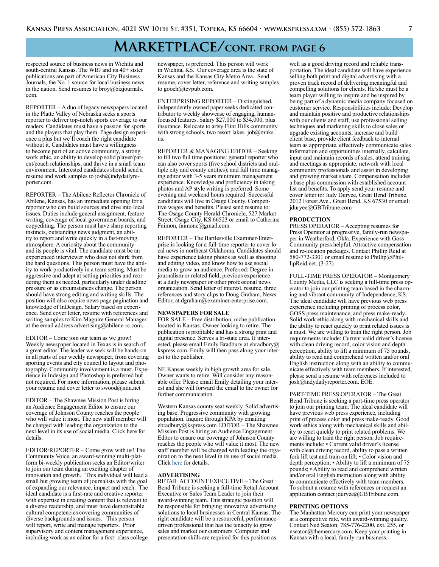### **Marketplace/cont. from page 6**

respected source of business news in Wichita and south-central Kansas. The WBJ and its 40+ sister publications are part of American City Business Journals, the No. 1 source for local business news in the nation. Send resumes to broy@bizjournals. com.

REPORTER – A duo of legacy newspapers located in the Platte Valley of Nebraska seeks a sports reporter to deliver top-notch sports coverage to our readers. Candidates must have a passion for sports and the players that play them. Page design experience a plus but we'll coach the right candidate without it. Candidates must have a willingness to become part of an active community, a strong work ethic, an ability to develop solid player/parent/coach relationships, and thrive in a small team environment. Interested candidates should send a resume and work samples to josh@indydailyreporter.com.

REPORTER – The Abilene Reflector Chronicle of Abilene, Kansas, has an immediate opening for a reporter who can build sources and dive into local issues. Duties include general assignment, feature writing, coverage of local government boards, and copyediting. The person must have sharp reporting instincts, outstanding news judgment, an ability to report and write quickly in a fast-moving atmosphere. A curiosity about the community and its people is vital. The candidate must be an experienced interviewer who does not shirk from the hard questions. This person must have the ability to work productively in a team setting. Must be aggressive and adept at setting priorities and reordering them as needed, particularly under deadline pressure or as circumstances change. The person should have strong editing and writing skills. The position will also require news page pagination and knowledge of InDesign. Salary based on experience. Send cover letter, resume with references and writing samples to Kim Maguire General Manager at the email address advertising@abilene-rc.com.

EDITOR – Come join our team as we grow! Weekly newspaper located in Texas is in search of a great editor. The leader we seek will be hands-on in all parts of our weekly newspaper, from covering sporting events and city council to layout and photography. Community involvement is a must. Experience in Indesign and Photoshop is preferred but not required. For more information, please submit your resume and cover letter to swood@ntin.net

EDITOR – The Shawnee Mission Post is hiring an Audience Engagement Editor to ensure our coverage of Johnson County reaches the people who will value it most. The new staff member will be charged with leading the organization to the next level in its use of social media. Click here for details.

EDITOR/REPORTER – Come grow with us! The Community Voice, an award-winning multi-platform bi-weekly publication seeks an Editor/writer to join our team during an exciting chapter of innovation and growth. This individual will lead a small but growing team of journalists with the goal of expanding our relevance, impact and reach. The ideal candidate is a first-rate and creative reporter with expertise in creating content that is relevant to a diverse readership, and must have demonstrable cultural competencies covering communities of diverse backgrounds and issues. This person will report, write and manage reporters. Prior supervisory and content management experience, including work as an editor for a first- class college newspaper, is preferred. This person will work in Wichita, KS. Our coverage area is the state of Kansas and the Kansas City Metro Area. Send resume, cover letter, reference and writing samples to gooch@tcvpub.com.

ENTERPRISING REPORTER – Distinguished, independently owned paper seeks dedicated contributor to weekly showcase of engaging, humanfocused features. Salary \$27,000 to \$34,000, plus insurance. Relocate to artsy Flint Hills community with strong schools, two resort lakes. job@mnks. us.

REPORTER & MANAGING EDITOR – Seeking to fill two full time positions: general reporter who can also cover sports (five school districts and multiple city and county entities); and full time managing editor with 3-5 years minimum management experience. Knowledge and proficiency in taking photos and AP style writing is preferred. Some evening and weekend hours required. Successful candidates will live in Osage County. Competitive wages and benefits. Please send resume to: The Osage County Herald-Chronicle, 527 Market Street, Osage City, KS 66523 or email to Catherine Faimon, faimonc@gmail.com.

REPORTER – The Bartlesville Examiner-Enterprise is looking for a full-time reporter to cover local news in northeast Oklahoma. Candidates should have experience taking photos as well as shooting and editing video, and know how to use social media to grow an audience. Preferred: Degree in journalism or related field; previous experience at a daily newspaper or other professional news organization. Send letter of interest, resume, three references and story clips to Doug Graham, News Editor, at dgraham@examiner-enterprise.com.

#### **NEWSPAPERS FOR SALE**

FOR SALE – Free distribution, niche publication located in Kansas. Owner looking to retire. The publication is profitable and has a strong print and digital presence. Serves a tri-state area. If interested, please email Emily Bradbury at ebradbury@ kspress.com. Emily will then pass along your interest to the publisher.

NE Kansas weekly in high growth area for sale. Owner wants to retire. Will consider any reasonable offer. Please email Emily detailing your interest and she will forward the email to the owner for further communication.

Western Kansas county seat weekly. Solid advertising base. Progressive community with growing population. Inquire through KPA by emailing ebradbury@kspress.com EDITOR – The Shawnee Mission Post is hiring an Audience Engagement Editor to ensure our coverage of Johnson County reaches the people who will value it most. The new staff member will be charged with leading the organization to the next level in its use of social media. Click [here](https://shawneemissionpost.com/2021/03/30/the-shawnee-mission-post-is-hiring-an-audience-engagement-editor-117864/) for details.

#### **ADVERTISING**

RETAIL ACCOUNT EXECUTIVE – The Great Bend Tribune is seeking a full-time Retail Account Executive or Sales Team Leader to join their award-winning team. This strategic position will be responsible for bringing innovative advertising solutions to local businesses in Central Kansas. The right candidate will be a resourceful, performancedriven professional that has the tenacity to grow sales and market our customers. Computer and presentation skills are required for this position as

well as a good driving record and reliable transportation. The ideal candidate will have experience selling both print and digital advertising with a proven track record of delivering meaningful and compelling solutions for clients. He/she must be a team player willing to inspire and be inspired by being part of a dynamic media company focused on customer service. Responsibilities include: Develop and maintain positive and productive relationships with our clients and staff, use professional selling techniques and marketing skills to close sales or upgrade existing accounts, increase and build client base, provide client feedback to internal team as appropriate, effectively communicate sales information and opportunities internally, calculate, input and maintain records of sales, attend training and meetings as appropriate, network with local community professionals and assist in developing and growing market share. Compensation includes a base plus commission with established account list and benefits. To apply send your resume and cover letter to: Judy Duryee, Great Bend Tribune, 2012 Forest Ave., Great Bend, KS 67530 or email: jduryee@GBTribune.com

#### **PRODUCTION**

PRESS OPERATOR – Accepting resumes for Press Operator at progressive, family-run newspaper in Weatherford, Okla. Experience with Goss Community press helpful. Attractive compensation and re-location packages. Contact Phillip Reid at 580-772-3301 or email resume to Phillip@PhillipReid.net. (3-27)

FULL-TIME PRESS OPERATOR – Montgomery County Media, LLC is seeking a full-time press operator to join our printing team based in the charming and vibrant community of Independence, KS. The ideal candidate will have previous web press experience including printing of process color, GOSS press maintenance, and press make-ready. Solid work ethic along with mechanical skills and the ability to react quickly to print related issues is a must. We are willing to train the right person. Job requirements include: Current valid driver's license with clean driving record, color vision and depth perception, ability to lift a minimum of 75 pounds, ability to read and comprehend written and/or oral English instruction along with an ability to communicate effectively with team members. If interested, please send a resume with references included to josh@indydailyreporter.com. EOE.

PART-TIME PRESS OPERATOR – The Great Bend Tribune is seeking a part-time press operator to join our printing team. The ideal candidate will have previous web press experience, including print of process color and press make-ready. Good work ethics along with mechanical skills and ability to react quickly to print related problems. We are willing to train the right person. Job requirements include: • Current valid driver's license with clean driving record, ability to pass a written fork lift test and train on lift; • Color vision and depth perception; • Ability to lift a minimum of 75 pounds; • Ability to read and comprehend written and/or oral English instruction along with ability to communicate effectively with team members. To submit a resume with references or request an application contact jduryee@GBTribune.com.

#### **PRINTING OPTIONS**

The Manhattan Mercury can print your newspaper at a competitive rate, with award-winning quality. Contact Ned Seaton, 785-776-2200, ext. 255, or nseaton@themercury.com. Keep your printing in Kansas with a local, family-run business.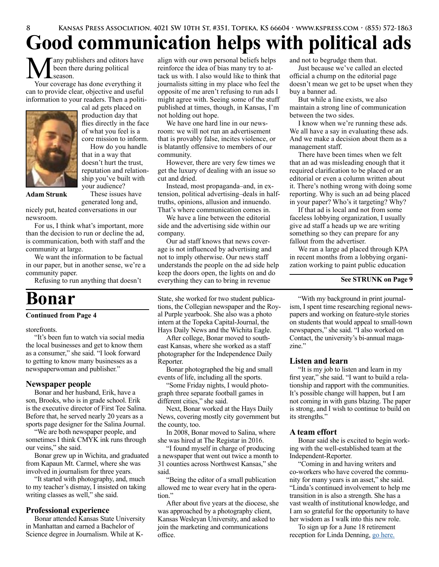## **Good communication helps with political ads**

any publishers and editors have been there during political season.

Your coverage has done everything it can to provide clear, objective and useful information to your readers. Then a politi-



cal ad gets placed on production day that flies directly in the face of what you feel is a core mission to inform.

How do you handle that in a way that doesn't hurt the trust, reputation and relationship you've built with your audience?

These issues have

**Adam Strunk**

generated long and, nicely put, heated conversations in our newsroom.

For us, I think what's important, more than the decision to run or decline the ad, is communication, both with staff and the community at large.

We want the information to be factual in our paper, but in another sense, we're a community paper.

Refusing to run anything that doesn't

## **Bonar**

#### **Continued from Page 4**

storefronts.

"It's been fun to watch via social media the local businesses and get to know them as a consumer," she said. "I look forward to getting to know many businesses as a newspaperwoman and publisher."

### **Newspaper people**

Bonar and her husband, Erik, have a son, Brooks, who is in grade school. Erik is the executive director of First Tee Salina. Before that, he served nearly 20 years as a sports page designer for the Salina Journal.

"We are both newspaper people, and sometimes I think CMYK ink runs through our veins," she said.

Bonar grew up in Wichita, and graduated from Kapaun Mt. Carmel, where she was involved in journalism for three years.

"It started with photography, and, much to my teacher's dismay, I insisted on taking writing classes as well," she said.

### **Professional experience**

Bonar attended Kansas State University in Manhattan and earned a Bachelor of Science degree in Journalism. While at K-

align with our own personal beliefs helps reinforce the idea of bias many try to attack us with. I also would like to think that journalists sitting in my place who feel the opposite of me aren't refusing to run ads I might agree with. Seeing some of the stuff published at times, though, in Kansas, I'm not holding out hope.

We have one hard line in our newsroom: we will not run an advertisement that is provably false, incites violence, or is blatantly offensive to members of our community.

However, there are very few times we get the luxury of dealing with an issue so cut and dried.

Instead, most propaganda–and, in extension, political advertising–deals in halftruths, opinions, allusion and innuendo. That's where communication comes in.

We have a line between the editorial side and the advertising side within our company.

Our ad staff knows that news coverage is not influenced by advertising and not to imply otherwise. Our news staff understands the people on the ad side help keep the doors open, the lights on and do everything they can to bring in revenue

State, she worked for two student publications, the Collegian newspaper and the Royal Purple yearbook. She also was a photo intern at the Topeka Capital-Journal, the Hays Daily News and the Wichita Eagle.

After college, Bonar moved to southeast Kansas, where she worked as a staff photographer for the Independence Daily Reporter.

Bonar photographed the big and small events of life, including all the sports.

"Some Friday nights, I would photograph three separate football games in different cities," she said.

Next, Bonar worked at the Hays Daily News, covering mostly city government but the county, too.

In 2008, Bonar moved to Salina, where she was hired at The Registar in 2016.

"I found myself in charge of producing a newspaper that went out twice a month to 31 counties across Northwest Kansas," she said.

"Being the editor of a small publication allowed me to wear every hat in the operation."

After about five years at the diocese, she was approached by a photography client, Kansas Wesleyan University, and asked to join the marketing and communications office.

and not to begrudge them that.

Just because we've called an elected official a chump on the editorial page doesn't mean we get to be upset when they buy a banner ad.

But while a line exists, we also maintain a strong line of communication between the two sides.

I know when we're running these ads. We all have a say in evaluating these ads. And we make a decision about them as a management staff.

There have been times when we felt that an ad was misleading enough that it required clarification to be placed or an editorial or even a column written about it. There's nothing wrong with doing some reporting. Why is such an ad being placed in your paper? Who's it targeting? Why?

If that ad is local and not from some faceless lobbying organization, I usually give ad staff a heads up we are writing something so they can prepare for any fallout from the advertiser.

We ran a large ad placed through KPA in recent months from a lobbying organization working to paint public education

#### **See STRUNK on Page 9**

"With my background in print journalism, I spent time researching regional newspapers and working on feature-style stories on students that would appeal to small-town newspapers," she said. "I also worked on Contact, the university's bi-annual magazine."

### **Listen and learn**

"It is my job to listen and learn in my first year," she said. "I want to build a relationship and rapport with the communities. It's possible change will happen, but I am not coming in with guns blazing. The paper is strong, and I wish to continue to build on its strengths."

### **A team effort**

Bonar said she is excited to begin working with the well-established team at the Independent-Reporter.

"Coming in and having writers and co-workers who have covered the community for many years is an asset," she said. "Linda's continued involvement to help me transition in is also a strength. She has a vast wealth of institutional knowledge, and I am so grateful for the opportunity to have her wisdom as I walk into this new role.

To sign up for a June 18 retirement reception for Linda Denning, [go here.](mailto:https://www.evite.com/event/0161RGUJRNF4KIVXWEPMVGDPUFSHVQ/rsvp%3Futm_campaign%3Dsend_sharable_link%26utm_source%3Devitelink%26utm_medium%3Dsharable_invite?subject=)